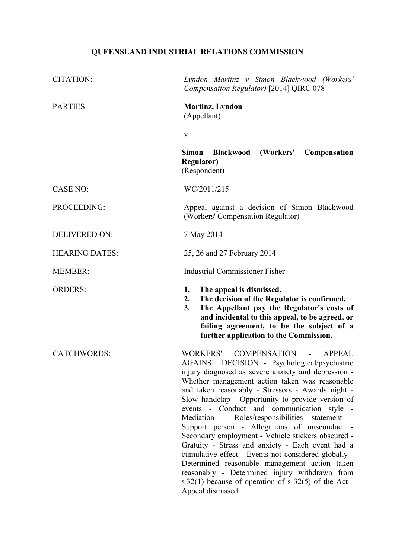# **QUEENSLAND INDUSTRIAL RELATIONS COMMISSION**

| <b>CITATION:</b>      | Lyndon Martinz v Simon Blackwood (Workers'<br>Compensation Regulator) [2014] QIRC 078                                                                                                                                                                                                                                                                                                                                                                                                                                                                                                                                                                                                                                                                                                                                                       |
|-----------------------|---------------------------------------------------------------------------------------------------------------------------------------------------------------------------------------------------------------------------------------------------------------------------------------------------------------------------------------------------------------------------------------------------------------------------------------------------------------------------------------------------------------------------------------------------------------------------------------------------------------------------------------------------------------------------------------------------------------------------------------------------------------------------------------------------------------------------------------------|
| <b>PARTIES:</b>       | <b>Martinz</b> , Lyndon<br>(Appellant)                                                                                                                                                                                                                                                                                                                                                                                                                                                                                                                                                                                                                                                                                                                                                                                                      |
|                       | $\mathbf{V}$                                                                                                                                                                                                                                                                                                                                                                                                                                                                                                                                                                                                                                                                                                                                                                                                                                |
|                       | (Workers'<br>Simon<br><b>Blackwood</b><br>Compensation<br><b>Regulator</b> )<br>(Respondent)                                                                                                                                                                                                                                                                                                                                                                                                                                                                                                                                                                                                                                                                                                                                                |
| <b>CASE NO:</b>       | WC/2011/215                                                                                                                                                                                                                                                                                                                                                                                                                                                                                                                                                                                                                                                                                                                                                                                                                                 |
| PROCEEDING:           | Appeal against a decision of Simon Blackwood<br>(Workers' Compensation Regulator)                                                                                                                                                                                                                                                                                                                                                                                                                                                                                                                                                                                                                                                                                                                                                           |
| <b>DELIVERED ON:</b>  | 7 May 2014                                                                                                                                                                                                                                                                                                                                                                                                                                                                                                                                                                                                                                                                                                                                                                                                                                  |
| <b>HEARING DATES:</b> | 25, 26 and 27 February 2014                                                                                                                                                                                                                                                                                                                                                                                                                                                                                                                                                                                                                                                                                                                                                                                                                 |
| <b>MEMBER:</b>        | <b>Industrial Commissioner Fisher</b>                                                                                                                                                                                                                                                                                                                                                                                                                                                                                                                                                                                                                                                                                                                                                                                                       |
| <b>ORDERS:</b>        | The appeal is dismissed.<br>1.<br>The decision of the Regulator is confirmed.<br>2.<br>The Appellant pay the Regulator's costs of<br>3.<br>and incidental to this appeal, to be agreed, or<br>failing agreement, to be the subject of a<br>further application to the Commission.                                                                                                                                                                                                                                                                                                                                                                                                                                                                                                                                                           |
| <b>CATCHWORDS:</b>    | WORKERS'<br><b>COMPENSATION</b><br><b>APPEAL</b><br>$\blacksquare$<br>AGAINST DECISION - Psychological/psychiatric<br>injury diagnosed as severe anxiety and depression -<br>Whether management action taken was reasonable<br>and taken reasonably - Stressors - Awards night -<br>Slow handclap - Opportunity to provide version of<br>events - Conduct and communication style<br>Mediation - Roles/responsibilities<br>statement -<br>Support person - Allegations of misconduct -<br>Secondary employment - Vehicle stickers obscured -<br>Gratuity - Stress and anxiety - Each event had a<br>cumulative effect - Events not considered globally -<br>Determined reasonable management action taken<br>reasonably - Determined injury withdrawn from<br>s $32(1)$ because of operation of s $32(5)$ of the Act -<br>Appeal dismissed. |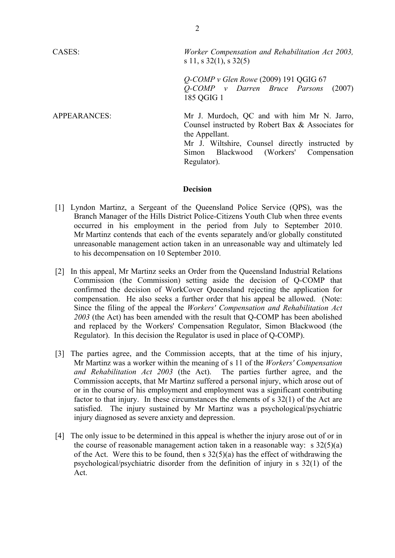| CASES:       | Worker Compensation and Rehabilitation Act 2003,<br>s 11, s $32(1)$ , s $32(5)$                                                                                                                                                |
|--------------|--------------------------------------------------------------------------------------------------------------------------------------------------------------------------------------------------------------------------------|
|              | $Q$ -COMP v Glen Rowe (2009) 191 QGIG 67<br>$Q$ -COMP v Darren Bruce Parsons (2007)<br>185 QGIG 1                                                                                                                              |
| APPEARANCES: | Mr J. Murdoch, QC and with him Mr N. Jarro,<br>Counsel instructed by Robert Bax & Associates for<br>the Appellant.<br>Mr J. Wiltshire, Counsel directly instructed by<br>Simon Blackwood (Workers' Compensation<br>Regulator). |

#### **Decision**

- [1] Lyndon Martinz, a Sergeant of the Queensland Police Service (QPS), was the Branch Manager of the Hills District Police-Citizens Youth Club when three events occurred in his employment in the period from July to September 2010. Mr Martinz contends that each of the events separately and/or globally constituted unreasonable management action taken in an unreasonable way and ultimately led to his decompensation on 10 September 2010.
- [2] In this appeal, Mr Martinz seeks an Order from the Queensland Industrial Relations Commission (the Commission) setting aside the decision of Q-COMP that confirmed the decision of WorkCover Queensland rejecting the application for compensation. He also seeks a further order that his appeal be allowed. (Note: Since the filing of the appeal the *Workers' Compensation and Rehabilitation Act 2003* (the Act) has been amended with the result that Q-COMP has been abolished and replaced by the Workers' Compensation Regulator, Simon Blackwood (the Regulator). In this decision the Regulator is used in place of Q-COMP).
- [3] The parties agree, and the Commission accepts, that at the time of his injury, Mr Martinz was a worker within the meaning of s 11 of the *Workers' Compensation and Rehabilitation Act 2003* (the Act). The parties further agree, and the Commission accepts, that Mr Martinz suffered a personal injury, which arose out of or in the course of his employment and employment was a significant contributing factor to that injury. In these circumstances the elements of s 32(1) of the Act are satisfied. The injury sustained by Mr Martinz was a psychological/psychiatric injury diagnosed as severe anxiety and depression.
- [4] The only issue to be determined in this appeal is whether the injury arose out of or in the course of reasonable management action taken in a reasonable way: s  $32(5)(a)$ of the Act. Were this to be found, then s 32(5)(a) has the effect of withdrawing the psychological/psychiatric disorder from the definition of injury in s 32(1) of the Act.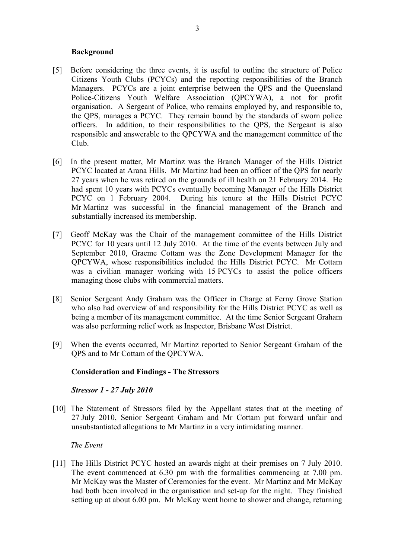# **Background**

- [5] Before considering the three events, it is useful to outline the structure of Police Citizens Youth Clubs (PCYCs) and the reporting responsibilities of the Branch Managers. PCYCs are a joint enterprise between the QPS and the Queensland Police-Citizens Youth Welfare Association (QPCYWA), a not for profit organisation. A Sergeant of Police, who remains employed by, and responsible to, the QPS, manages a PCYC. They remain bound by the standards of sworn police officers. In addition, to their responsibilities to the QPS, the Sergeant is also responsible and answerable to the QPCYWA and the management committee of the Club.
- [6] In the present matter, Mr Martinz was the Branch Manager of the Hills District PCYC located at Arana Hills. Mr Martinz had been an officer of the QPS for nearly 27 years when he was retired on the grounds of ill health on 21 February 2014. He had spent 10 years with PCYCs eventually becoming Manager of the Hills District PCYC on 1 February 2004. During his tenure at the Hills District PCYC Mr Martinz was successful in the financial management of the Branch and substantially increased its membership.
- [7] Geoff McKay was the Chair of the management committee of the Hills District PCYC for 10 years until 12 July 2010. At the time of the events between July and September 2010, Graeme Cottam was the Zone Development Manager for the QPCYWA, whose responsibilities included the Hills District PCYC. Mr Cottam was a civilian manager working with 15 PCYCs to assist the police officers managing those clubs with commercial matters.
- [8] Senior Sergeant Andy Graham was the Officer in Charge at Ferny Grove Station who also had overview of and responsibility for the Hills District PCYC as well as being a member of its management committee. At the time Senior Sergeant Graham was also performing relief work as Inspector, Brisbane West District.
- [9] When the events occurred, Mr Martinz reported to Senior Sergeant Graham of the QPS and to Mr Cottam of the QPCYWA.

# **Consideration and Findings - The Stressors**

# *Stressor 1 - 27 July 2010*

[10] The Statement of Stressors filed by the Appellant states that at the meeting of 27 July 2010, Senior Sergeant Graham and Mr Cottam put forward unfair and unsubstantiated allegations to Mr Martinz in a very intimidating manner.

#### *The Event*

[11] The Hills District PCYC hosted an awards night at their premises on 7 July 2010. The event commenced at 6.30 pm with the formalities commencing at 7.00 pm. Mr McKay was the Master of Ceremonies for the event. Mr Martinz and Mr McKay had both been involved in the organisation and set-up for the night. They finished setting up at about 6.00 pm. Mr McKay went home to shower and change, returning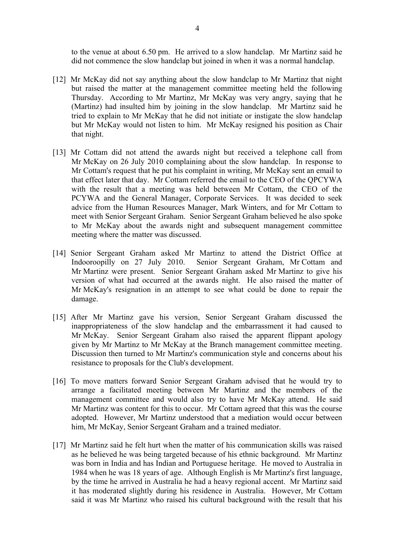to the venue at about 6.50 pm. He arrived to a slow handclap. Mr Martinz said he did not commence the slow handclap but joined in when it was a normal handclap.

- [12] Mr McKay did not say anything about the slow handclap to Mr Martinz that night but raised the matter at the management committee meeting held the following Thursday. According to Mr Martinz, Mr McKay was very angry, saying that he (Martinz) had insulted him by joining in the slow handclap. Mr Martinz said he tried to explain to Mr McKay that he did not initiate or instigate the slow handclap but Mr McKay would not listen to him. Mr McKay resigned his position as Chair that night.
- [13] Mr Cottam did not attend the awards night but received a telephone call from Mr McKay on 26 July 2010 complaining about the slow handclap. In response to Mr Cottam's request that he put his complaint in writing, Mr McKay sent an email to that effect later that day. Mr Cottam referred the email to the CEO of the QPCYWA with the result that a meeting was held between Mr Cottam, the CEO of the PCYWA and the General Manager, Corporate Services. It was decided to seek advice from the Human Resources Manager, Mark Winters, and for Mr Cottam to meet with Senior Sergeant Graham. Senior Sergeant Graham believed he also spoke to Mr McKay about the awards night and subsequent management committee meeting where the matter was discussed.
- [14] Senior Sergeant Graham asked Mr Martinz to attend the District Office at Indooroopilly on 27 July 2010. Senior Sergeant Graham, Mr Cottam and Mr Martinz were present. Senior Sergeant Graham asked Mr Martinz to give his version of what had occurred at the awards night. He also raised the matter of Mr McKay's resignation in an attempt to see what could be done to repair the damage.
- [15] After Mr Martinz gave his version, Senior Sergeant Graham discussed the inappropriateness of the slow handclap and the embarrassment it had caused to Mr McKay. Senior Sergeant Graham also raised the apparent flippant apology given by Mr Martinz to Mr McKay at the Branch management committee meeting. Discussion then turned to Mr Martinz's communication style and concerns about his resistance to proposals for the Club's development.
- [16] To move matters forward Senior Sergeant Graham advised that he would try to arrange a facilitated meeting between Mr Martinz and the members of the management committee and would also try to have Mr McKay attend. He said Mr Martinz was content for this to occur. Mr Cottam agreed that this was the course adopted. However, Mr Martinz understood that a mediation would occur between him, Mr McKay, Senior Sergeant Graham and a trained mediator.
- [17] Mr Martinz said he felt hurt when the matter of his communication skills was raised as he believed he was being targeted because of his ethnic background. Mr Martinz was born in India and has Indian and Portuguese heritage. He moved to Australia in 1984 when he was 18 years of age. Although English is Mr Martinz's first language, by the time he arrived in Australia he had a heavy regional accent. Mr Martinz said it has moderated slightly during his residence in Australia. However, Mr Cottam said it was Mr Martinz who raised his cultural background with the result that his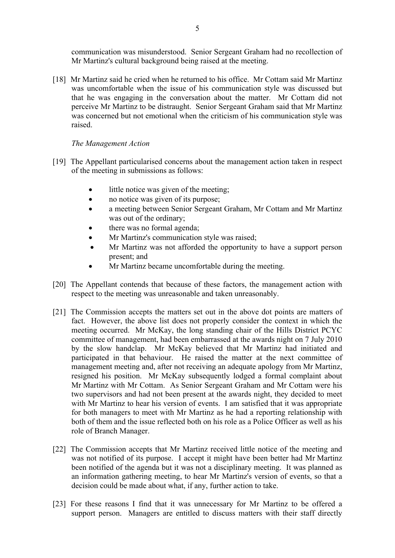communication was misunderstood. Senior Sergeant Graham had no recollection of Mr Martinz's cultural background being raised at the meeting.

[18] Mr Martinz said he cried when he returned to his office. Mr Cottam said Mr Martinz was uncomfortable when the issue of his communication style was discussed but that he was engaging in the conversation about the matter. Mr Cottam did not perceive Mr Martinz to be distraught. Senior Sergeant Graham said that Mr Martinz was concerned but not emotional when the criticism of his communication style was raised.

# *The Management Action*

- [19] The Appellant particularised concerns about the management action taken in respect of the meeting in submissions as follows:
	- little notice was given of the meeting;
	- no notice was given of its purpose;
	- a meeting between Senior Sergeant Graham, Mr Cottam and Mr Martinz was out of the ordinary;
	- there was no formal agenda;
	- Mr Martinz's communication style was raised:
	- Mr Martinz was not afforded the opportunity to have a support person present; and
	- Mr Martinz became uncomfortable during the meeting.
- [20] The Appellant contends that because of these factors, the management action with respect to the meeting was unreasonable and taken unreasonably.
- [21] The Commission accepts the matters set out in the above dot points are matters of fact. However, the above list does not properly consider the context in which the meeting occurred. Mr McKay, the long standing chair of the Hills District PCYC committee of management, had been embarrassed at the awards night on 7 July 2010 by the slow handclap. Mr McKay believed that Mr Martinz had initiated and participated in that behaviour. He raised the matter at the next committee of management meeting and, after not receiving an adequate apology from Mr Martinz, resigned his position. Mr McKay subsequently lodged a formal complaint about Mr Martinz with Mr Cottam. As Senior Sergeant Graham and Mr Cottam were his two supervisors and had not been present at the awards night, they decided to meet with Mr Martinz to hear his version of events. I am satisfied that it was appropriate for both managers to meet with Mr Martinz as he had a reporting relationship with both of them and the issue reflected both on his role as a Police Officer as well as his role of Branch Manager.
- [22] The Commission accepts that Mr Martinz received little notice of the meeting and was not notified of its purpose. I accept it might have been better had Mr Martinz been notified of the agenda but it was not a disciplinary meeting. It was planned as an information gathering meeting, to hear Mr Martinz's version of events, so that a decision could be made about what, if any, further action to take.
- [23] For these reasons I find that it was unnecessary for Mr Martinz to be offered a support person. Managers are entitled to discuss matters with their staff directly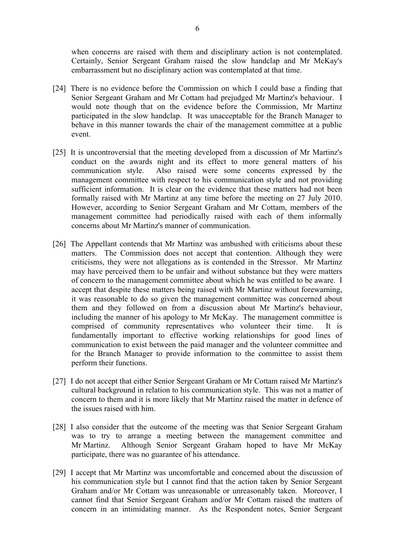when concerns are raised with them and disciplinary action is not contemplated. Certainly, Senior Sergeant Graham raised the slow handclap and Mr McKay's embarrassment but no disciplinary action was contemplated at that time.

- [24] There is no evidence before the Commission on which I could base a finding that Senior Sergeant Graham and Mr Cottam had prejudged Mr Martinz's behaviour. I would note though that on the evidence before the Commission, Mr Martinz participated in the slow handclap. It was unacceptable for the Branch Manager to behave in this manner towards the chair of the management committee at a public event.
- [25] It is uncontroversial that the meeting developed from a discussion of Mr Martinz's conduct on the awards night and its effect to more general matters of his communication style. Also raised were some concerns expressed by the management committee with respect to his communication style and not providing sufficient information. It is clear on the evidence that these matters had not been formally raised with Mr Martinz at any time before the meeting on 27 July 2010. However, according to Senior Sergeant Graham and Mr Cottam, members of the management committee had periodically raised with each of them informally concerns about Mr Martinz's manner of communication.
- [26] The Appellant contends that Mr Martinz was ambushed with criticisms about these matters. The Commission does not accept that contention. Although they were criticisms, they were not allegations as is contended in the Stressor. Mr Martinz may have perceived them to be unfair and without substance but they were matters of concern to the management committee about which he was entitled to be aware. I accept that despite these matters being raised with Mr Martinz without forewarning, it was reasonable to do so given the management committee was concerned about them and they followed on from a discussion about Mr Martinz's behaviour, including the manner of his apology to Mr McKay. The management committee is comprised of community representatives who volunteer their time. It is fundamentally important to effective working relationships for good lines of communication to exist between the paid manager and the volunteer committee and for the Branch Manager to provide information to the committee to assist them perform their functions.
- [27] I do not accept that either Senior Sergeant Graham or Mr Cottam raised Mr Martinz's cultural background in relation to his communication style. This was not a matter of concern to them and it is more likely that Mr Martinz raised the matter in defence of the issues raised with him.
- [28] I also consider that the outcome of the meeting was that Senior Sergeant Graham was to try to arrange a meeting between the management committee and Mr Martinz. Although Senior Sergeant Graham hoped to have Mr McKay participate, there was no guarantee of his attendance.
- [29] I accept that Mr Martinz was uncomfortable and concerned about the discussion of his communication style but I cannot find that the action taken by Senior Sergeant Graham and/or Mr Cottam was unreasonable or unreasonably taken. Moreover, I cannot find that Senior Sergeant Graham and/or Mr Cottam raised the matters of concern in an intimidating manner. As the Respondent notes, Senior Sergeant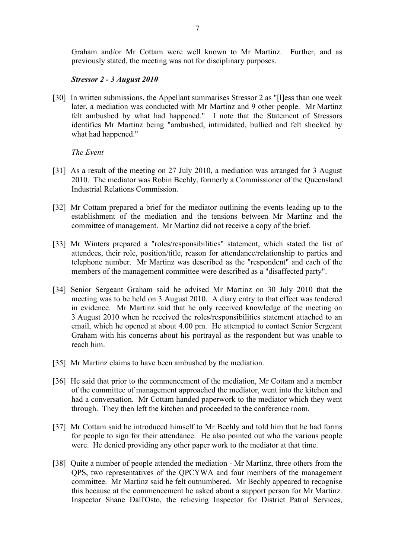Graham and/or Mr Cottam were well known to Mr Martinz. Further, and as previously stated, the meeting was not for disciplinary purposes.

# *Stressor 2 - 3 August 2010*

[30] In written submissions, the Appellant summarises Stressor 2 as "[1]ess than one week later, a mediation was conducted with Mr Martinz and 9 other people. Mr Martinz felt ambushed by what had happened." I note that the Statement of Stressors identifies Mr Martinz being "ambushed, intimidated, bullied and felt shocked by what had happened."

*The Event*

- [31] As a result of the meeting on 27 July 2010, a mediation was arranged for 3 August 2010. The mediator was Robin Bechly, formerly a Commissioner of the Queensland Industrial Relations Commission.
- [32] Mr Cottam prepared a brief for the mediator outlining the events leading up to the establishment of the mediation and the tensions between Mr Martinz and the committee of management. Mr Martinz did not receive a copy of the brief.
- [33] Mr Winters prepared a "roles/responsibilities" statement, which stated the list of attendees, their role, position/title, reason for attendance/relationship to parties and telephone number. Mr Martinz was described as the "respondent" and each of the members of the management committee were described as a "disaffected party".
- [34] Senior Sergeant Graham said he advised Mr Martinz on 30 July 2010 that the meeting was to be held on 3 August 2010. A diary entry to that effect was tendered in evidence. Mr Martinz said that he only received knowledge of the meeting on 3 August 2010 when he received the roles/responsibilities statement attached to an email, which he opened at about 4.00 pm. He attempted to contact Senior Sergeant Graham with his concerns about his portrayal as the respondent but was unable to reach him.
- [35] Mr Martinz claims to have been ambushed by the mediation.
- [36] He said that prior to the commencement of the mediation, Mr Cottam and a member of the committee of management approached the mediator, went into the kitchen and had a conversation. Mr Cottam handed paperwork to the mediator which they went through. They then left the kitchen and proceeded to the conference room.
- [37] Mr Cottam said he introduced himself to Mr Bechly and told him that he had forms for people to sign for their attendance. He also pointed out who the various people were. He denied providing any other paper work to the mediator at that time.
- [38] Quite a number of people attended the mediation Mr Martinz, three others from the QPS, two representatives of the QPCYWA and four members of the management committee. Mr Martinz said he felt outnumbered. Mr Bechly appeared to recognise this because at the commencement he asked about a support person for Mr Martinz. Inspector Shane Dall'Osto, the relieving Inspector for District Patrol Services,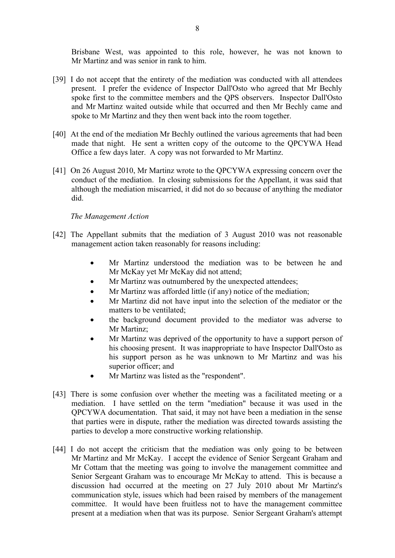Brisbane West, was appointed to this role, however, he was not known to Mr Martinz and was senior in rank to him.

- [39] I do not accept that the entirety of the mediation was conducted with all attendees present. I prefer the evidence of Inspector Dall'Osto who agreed that Mr Bechly spoke first to the committee members and the QPS observers. Inspector Dall'Osto and Mr Martinz waited outside while that occurred and then Mr Bechly came and spoke to Mr Martinz and they then went back into the room together.
- [40] At the end of the mediation Mr Bechly outlined the various agreements that had been made that night. He sent a written copy of the outcome to the QPCYWA Head Office a few days later. A copy was not forwarded to Mr Martinz.
- [41] On 26 August 2010, Mr Martinz wrote to the QPCYWA expressing concern over the conduct of the mediation. In closing submissions for the Appellant, it was said that although the mediation miscarried, it did not do so because of anything the mediator did.

# *The Management Action*

- [42] The Appellant submits that the mediation of 3 August 2010 was not reasonable management action taken reasonably for reasons including:
	- Mr Martinz understood the mediation was to be between he and Mr McKay yet Mr McKay did not attend;
	- Mr Martinz was outnumbered by the unexpected attendees;
	- Mr Martinz was afforded little (if any) notice of the mediation;
	- Mr Martinz did not have input into the selection of the mediator or the matters to be ventilated;
	- the background document provided to the mediator was adverse to Mr Martinz;
	- Mr Martinz was deprived of the opportunity to have a support person of his choosing present. It was inappropriate to have Inspector Dall'Osto as his support person as he was unknown to Mr Martinz and was his superior officer; and
	- Mr Martinz was listed as the "respondent".
- [43] There is some confusion over whether the meeting was a facilitated meeting or a mediation. I have settled on the term "mediation" because it was used in the QPCYWA documentation. That said, it may not have been a mediation in the sense that parties were in dispute, rather the mediation was directed towards assisting the parties to develop a more constructive working relationship.
- [44] I do not accept the criticism that the mediation was only going to be between Mr Martinz and Mr McKay. I accept the evidence of Senior Sergeant Graham and Mr Cottam that the meeting was going to involve the management committee and Senior Sergeant Graham was to encourage Mr McKay to attend. This is because a discussion had occurred at the meeting on 27 July 2010 about Mr Martinz's communication style, issues which had been raised by members of the management committee. It would have been fruitless not to have the management committee present at a mediation when that was its purpose. Senior Sergeant Graham's attempt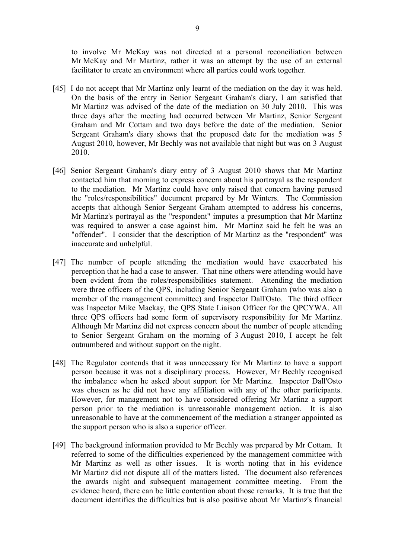to involve Mr McKay was not directed at a personal reconciliation between Mr McKay and Mr Martinz, rather it was an attempt by the use of an external facilitator to create an environment where all parties could work together.

- [45] I do not accept that Mr Martinz only learnt of the mediation on the day it was held. On the basis of the entry in Senior Sergeant Graham's diary, I am satisfied that Mr Martinz was advised of the date of the mediation on 30 July 2010. This was three days after the meeting had occurred between Mr Martinz, Senior Sergeant Graham and Mr Cottam and two days before the date of the mediation. Senior Sergeant Graham's diary shows that the proposed date for the mediation was 5 August 2010, however, Mr Bechly was not available that night but was on 3 August 2010.
- [46] Senior Sergeant Graham's diary entry of 3 August 2010 shows that Mr Martinz contacted him that morning to express concern about his portrayal as the respondent to the mediation. Mr Martinz could have only raised that concern having perused the "roles/responsibilities" document prepared by Mr Winters. The Commission accepts that although Senior Sergeant Graham attempted to address his concerns, Mr Martinz's portrayal as the "respondent" imputes a presumption that Mr Martinz was required to answer a case against him. Mr Martinz said he felt he was an "offender". I consider that the description of Mr Martinz as the "respondent" was inaccurate and unhelpful.
- [47] The number of people attending the mediation would have exacerbated his perception that he had a case to answer. That nine others were attending would have been evident from the roles/responsibilities statement. Attending the mediation were three officers of the QPS, including Senior Sergeant Graham (who was also a member of the management committee) and Inspector Dall'Osto. The third officer was Inspector Mike Mackay, the QPS State Liaison Officer for the QPCYWA. All three QPS officers had some form of supervisory responsibility for Mr Martinz. Although Mr Martinz did not express concern about the number of people attending to Senior Sergeant Graham on the morning of 3 August 2010, I accept he felt outnumbered and without support on the night.
- [48] The Regulator contends that it was unnecessary for Mr Martinz to have a support person because it was not a disciplinary process. However, Mr Bechly recognised the imbalance when he asked about support for Mr Martinz. Inspector Dall'Osto was chosen as he did not have any affiliation with any of the other participants. However, for management not to have considered offering Mr Martinz a support person prior to the mediation is unreasonable management action. It is also unreasonable to have at the commencement of the mediation a stranger appointed as the support person who is also a superior officer.
- [49] The background information provided to Mr Bechly was prepared by Mr Cottam. It referred to some of the difficulties experienced by the management committee with Mr Martinz as well as other issues. It is worth noting that in his evidence Mr Martinz did not dispute all of the matters listed. The document also references the awards night and subsequent management committee meeting. From the evidence heard, there can be little contention about those remarks. It is true that the document identifies the difficulties but is also positive about Mr Martinz's financial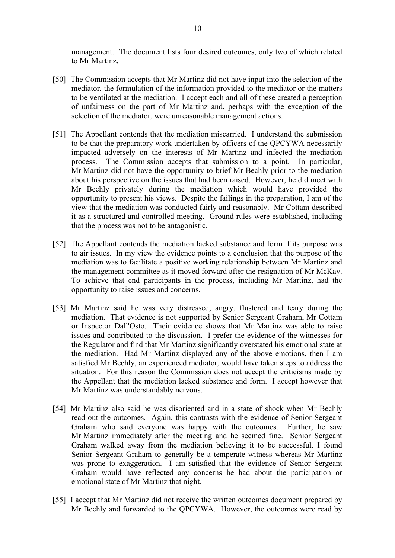management. The document lists four desired outcomes, only two of which related to Mr Martinz.

- [50] The Commission accepts that Mr Martinz did not have input into the selection of the mediator, the formulation of the information provided to the mediator or the matters to be ventilated at the mediation. I accept each and all of these created a perception of unfairness on the part of Mr Martinz and, perhaps with the exception of the selection of the mediator, were unreasonable management actions.
- [51] The Appellant contends that the mediation miscarried. I understand the submission to be that the preparatory work undertaken by officers of the QPCYWA necessarily impacted adversely on the interests of Mr Martinz and infected the mediation process. The Commission accepts that submission to a point. In particular, Mr Martinz did not have the opportunity to brief Mr Bechly prior to the mediation about his perspective on the issues that had been raised. However, he did meet with Mr Bechly privately during the mediation which would have provided the opportunity to present his views. Despite the failings in the preparation, I am of the view that the mediation was conducted fairly and reasonably. Mr Cottam described it as a structured and controlled meeting. Ground rules were established, including that the process was not to be antagonistic.
- [52] The Appellant contends the mediation lacked substance and form if its purpose was to air issues. In my view the evidence points to a conclusion that the purpose of the mediation was to facilitate a positive working relationship between Mr Martinz and the management committee as it moved forward after the resignation of Mr McKay. To achieve that end participants in the process, including Mr Martinz, had the opportunity to raise issues and concerns.
- [53] Mr Martinz said he was very distressed, angry, flustered and teary during the mediation. That evidence is not supported by Senior Sergeant Graham, Mr Cottam or Inspector Dall'Osto. Their evidence shows that Mr Martinz was able to raise issues and contributed to the discussion. I prefer the evidence of the witnesses for the Regulator and find that Mr Martinz significantly overstated his emotional state at the mediation. Had Mr Martinz displayed any of the above emotions, then I am satisfied Mr Bechly, an experienced mediator, would have taken steps to address the situation. For this reason the Commission does not accept the criticisms made by the Appellant that the mediation lacked substance and form. I accept however that Mr Martinz was understandably nervous.
- [54] Mr Martinz also said he was disoriented and in a state of shock when Mr Bechly read out the outcomes. Again, this contrasts with the evidence of Senior Sergeant Graham who said everyone was happy with the outcomes. Further, he saw Mr Martinz immediately after the meeting and he seemed fine. Senior Sergeant Graham walked away from the mediation believing it to be successful. I found Senior Sergeant Graham to generally be a temperate witness whereas Mr Martinz was prone to exaggeration. I am satisfied that the evidence of Senior Sergeant Graham would have reflected any concerns he had about the participation or emotional state of Mr Martinz that night.
- [55] I accept that Mr Martinz did not receive the written outcomes document prepared by Mr Bechly and forwarded to the QPCYWA. However, the outcomes were read by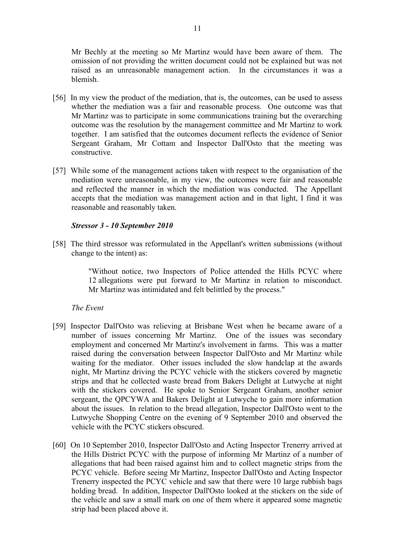Mr Bechly at the meeting so Mr Martinz would have been aware of them. The omission of not providing the written document could not be explained but was not raised as an unreasonable management action. In the circumstances it was a blemish.

- [56] In my view the product of the mediation, that is, the outcomes, can be used to assess whether the mediation was a fair and reasonable process. One outcome was that Mr Martinz was to participate in some communications training but the overarching outcome was the resolution by the management committee and Mr Martinz to work together. I am satisfied that the outcomes document reflects the evidence of Senior Sergeant Graham, Mr Cottam and Inspector Dall'Osto that the meeting was constructive.
- [57] While some of the management actions taken with respect to the organisation of the mediation were unreasonable, in my view, the outcomes were fair and reasonable and reflected the manner in which the mediation was conducted. The Appellant accepts that the mediation was management action and in that light, I find it was reasonable and reasonably taken.

# *Stressor 3 - 10 September 2010*

[58] The third stressor was reformulated in the Appellant's written submissions (without change to the intent) as:

> "Without notice, two Inspectors of Police attended the Hills PCYC where 12 allegations were put forward to Mr Martinz in relation to misconduct. Mr Martinz was intimidated and felt belittled by the process."

*The Event*

- [59] Inspector Dall'Osto was relieving at Brisbane West when he became aware of a number of issues concerning Mr Martinz. One of the issues was secondary employment and concerned Mr Martinz's involvement in farms. This was a matter raised during the conversation between Inspector Dall'Osto and Mr Martinz while waiting for the mediator. Other issues included the slow handclap at the awards night, Mr Martinz driving the PCYC vehicle with the stickers covered by magnetic strips and that he collected waste bread from Bakers Delight at Lutwyche at night with the stickers covered. He spoke to Senior Sergeant Graham, another senior sergeant, the QPCYWA and Bakers Delight at Lutwyche to gain more information about the issues. In relation to the bread allegation, Inspector Dall'Osto went to the Lutwyche Shopping Centre on the evening of 9 September 2010 and observed the vehicle with the PCYC stickers obscured.
- [60] On 10 September 2010, Inspector Dall'Osto and Acting Inspector Trenerry arrived at the Hills District PCYC with the purpose of informing Mr Martinz of a number of allegations that had been raised against him and to collect magnetic strips from the PCYC vehicle. Before seeing Mr Martinz, Inspector Dall'Osto and Acting Inspector Trenerry inspected the PCYC vehicle and saw that there were 10 large rubbish bags holding bread. In addition, Inspector Dall'Osto looked at the stickers on the side of the vehicle and saw a small mark on one of them where it appeared some magnetic strip had been placed above it.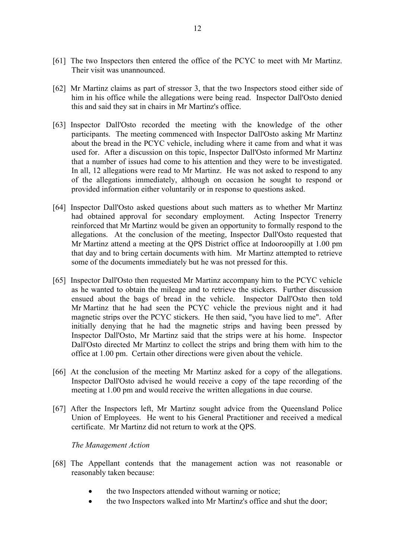- [61] The two Inspectors then entered the office of the PCYC to meet with Mr Martinz. Their visit was unannounced.
- [62] Mr Martinz claims as part of stressor 3, that the two Inspectors stood either side of him in his office while the allegations were being read. Inspector Dall'Osto denied this and said they sat in chairs in Mr Martinz's office.
- [63] Inspector Dall'Osto recorded the meeting with the knowledge of the other participants. The meeting commenced with Inspector Dall'Osto asking Mr Martinz about the bread in the PCYC vehicle, including where it came from and what it was used for. After a discussion on this topic, Inspector Dall'Osto informed Mr Martinz that a number of issues had come to his attention and they were to be investigated. In all, 12 allegations were read to Mr Martinz. He was not asked to respond to any of the allegations immediately, although on occasion he sought to respond or provided information either voluntarily or in response to questions asked.
- [64] Inspector Dall'Osto asked questions about such matters as to whether Mr Martinz had obtained approval for secondary employment. Acting Inspector Trenerry reinforced that Mr Martinz would be given an opportunity to formally respond to the allegations. At the conclusion of the meeting, Inspector Dall'Osto requested that Mr Martinz attend a meeting at the QPS District office at Indooroopilly at 1.00 pm that day and to bring certain documents with him. Mr Martinz attempted to retrieve some of the documents immediately but he was not pressed for this.
- [65] Inspector Dall'Osto then requested Mr Martinz accompany him to the PCYC vehicle as he wanted to obtain the mileage and to retrieve the stickers. Further discussion ensued about the bags of bread in the vehicle. Inspector Dall'Osto then told Mr Martinz that he had seen the PCYC vehicle the previous night and it had magnetic strips over the PCYC stickers. He then said, "you have lied to me". After initially denying that he had the magnetic strips and having been pressed by Inspector Dall'Osto, Mr Martinz said that the strips were at his home. Inspector Dall'Osto directed Mr Martinz to collect the strips and bring them with him to the office at 1.00 pm. Certain other directions were given about the vehicle.
- [66] At the conclusion of the meeting Mr Martinz asked for a copy of the allegations. Inspector Dall'Osto advised he would receive a copy of the tape recording of the meeting at 1.00 pm and would receive the written allegations in due course.
- [67] After the Inspectors left, Mr Martinz sought advice from the Queensland Police Union of Employees. He went to his General Practitioner and received a medical certificate. Mr Martinz did not return to work at the QPS.

*The Management Action*

- [68] The Appellant contends that the management action was not reasonable or reasonably taken because:
	- the two Inspectors attended without warning or notice;
	- the two Inspectors walked into Mr Martinz's office and shut the door;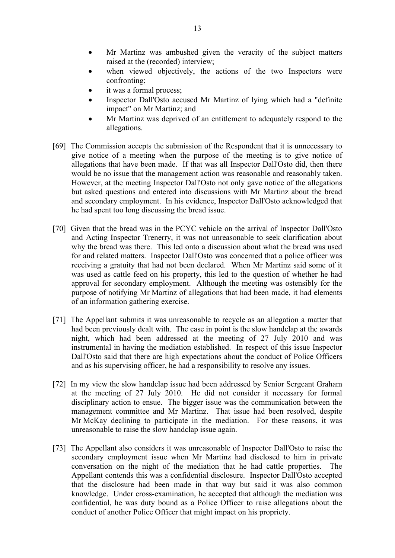- Mr Martinz was ambushed given the veracity of the subject matters raised at the (recorded) interview;
- when viewed objectively, the actions of the two Inspectors were confronting;
- it was a formal process;
- Inspector Dall'Osto accused Mr Martinz of lying which had a "definite impact" on Mr Martinz; and
- Mr Martinz was deprived of an entitlement to adequately respond to the allegations.
- [69] The Commission accepts the submission of the Respondent that it is unnecessary to give notice of a meeting when the purpose of the meeting is to give notice of allegations that have been made. If that was all Inspector Dall'Osto did, then there would be no issue that the management action was reasonable and reasonably taken. However, at the meeting Inspector Dall'Osto not only gave notice of the allegations but asked questions and entered into discussions with Mr Martinz about the bread and secondary employment. In his evidence, Inspector Dall'Osto acknowledged that he had spent too long discussing the bread issue.
- [70] Given that the bread was in the PCYC vehicle on the arrival of Inspector Dall'Osto and Acting Inspector Trenerry, it was not unreasonable to seek clarification about why the bread was there. This led onto a discussion about what the bread was used for and related matters. Inspector Dall'Osto was concerned that a police officer was receiving a gratuity that had not been declared. When Mr Martinz said some of it was used as cattle feed on his property, this led to the question of whether he had approval for secondary employment. Although the meeting was ostensibly for the purpose of notifying Mr Martinz of allegations that had been made, it had elements of an information gathering exercise.
- [71] The Appellant submits it was unreasonable to recycle as an allegation a matter that had been previously dealt with. The case in point is the slow handclap at the awards night, which had been addressed at the meeting of 27 July 2010 and was instrumental in having the mediation established. In respect of this issue Inspector Dall'Osto said that there are high expectations about the conduct of Police Officers and as his supervising officer, he had a responsibility to resolve any issues.
- [72] In my view the slow handclap issue had been addressed by Senior Sergeant Graham at the meeting of 27 July 2010. He did not consider it necessary for formal disciplinary action to ensue. The bigger issue was the communication between the management committee and Mr Martinz. That issue had been resolved, despite Mr McKay declining to participate in the mediation. For these reasons, it was unreasonable to raise the slow handclap issue again.
- [73] The Appellant also considers it was unreasonable of Inspector Dall'Osto to raise the secondary employment issue when Mr Martinz had disclosed to him in private conversation on the night of the mediation that he had cattle properties. The Appellant contends this was a confidential disclosure. Inspector Dall'Osto accepted that the disclosure had been made in that way but said it was also common knowledge. Under cross-examination, he accepted that although the mediation was confidential, he was duty bound as a Police Officer to raise allegations about the conduct of another Police Officer that might impact on his propriety.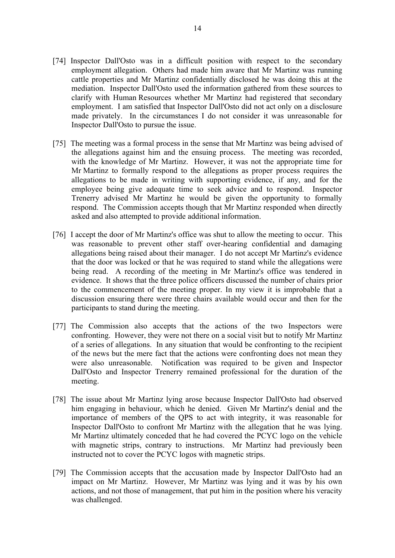- [74] Inspector Dall'Osto was in a difficult position with respect to the secondary employment allegation. Others had made him aware that Mr Martinz was running cattle properties and Mr Martinz confidentially disclosed he was doing this at the mediation. Inspector Dall'Osto used the information gathered from these sources to clarify with Human Resources whether Mr Martinz had registered that secondary employment. I am satisfied that Inspector Dall'Osto did not act only on a disclosure made privately. In the circumstances I do not consider it was unreasonable for Inspector Dall'Osto to pursue the issue.
- [75] The meeting was a formal process in the sense that Mr Martinz was being advised of the allegations against him and the ensuing process. The meeting was recorded, with the knowledge of Mr Martinz. However, it was not the appropriate time for Mr Martinz to formally respond to the allegations as proper process requires the allegations to be made in writing with supporting evidence, if any, and for the employee being give adequate time to seek advice and to respond. Inspector Trenerry advised Mr Martinz he would be given the opportunity to formally respond. The Commission accepts though that Mr Martinz responded when directly asked and also attempted to provide additional information.
- [76] I accept the door of Mr Martinz's office was shut to allow the meeting to occur. This was reasonable to prevent other staff over-hearing confidential and damaging allegations being raised about their manager. I do not accept Mr Martinz's evidence that the door was locked or that he was required to stand while the allegations were being read. A recording of the meeting in Mr Martinz's office was tendered in evidence. It shows that the three police officers discussed the number of chairs prior to the commencement of the meeting proper. In my view it is improbable that a discussion ensuring there were three chairs available would occur and then for the participants to stand during the meeting.
- [77] The Commission also accepts that the actions of the two Inspectors were confronting. However, they were not there on a social visit but to notify Mr Martinz of a series of allegations. In any situation that would be confronting to the recipient of the news but the mere fact that the actions were confronting does not mean they were also unreasonable. Notification was required to be given and Inspector Dall'Osto and Inspector Trenerry remained professional for the duration of the meeting.
- [78] The issue about Mr Martinz lying arose because Inspector Dall'Osto had observed him engaging in behaviour, which he denied. Given Mr Martinz's denial and the importance of members of the QPS to act with integrity, it was reasonable for Inspector Dall'Osto to confront Mr Martinz with the allegation that he was lying. Mr Martinz ultimately conceded that he had covered the PCYC logo on the vehicle with magnetic strips, contrary to instructions. Mr Martinz had previously been instructed not to cover the PCYC logos with magnetic strips.
- [79] The Commission accepts that the accusation made by Inspector Dall'Osto had an impact on Mr Martinz. However, Mr Martinz was lying and it was by his own actions, and not those of management, that put him in the position where his veracity was challenged.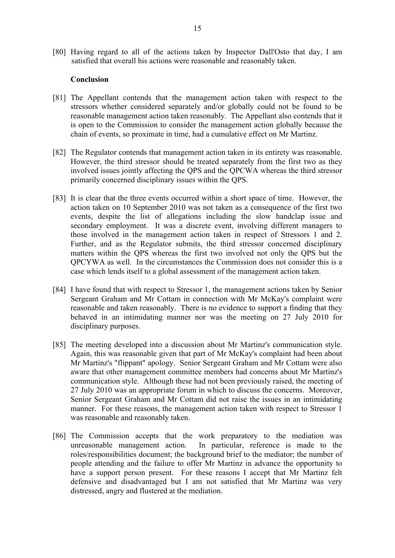[80] Having regard to all of the actions taken by Inspector Dall'Osto that day, I am satisfied that overall his actions were reasonable and reasonably taken.

### **Conclusion**

- [81] The Appellant contends that the management action taken with respect to the stressors whether considered separately and/or globally could not be found to be reasonable management action taken reasonably. The Appellant also contends that it is open to the Commission to consider the management action globally because the chain of events, so proximate in time, had a cumulative effect on Mr Martinz.
- [82] The Regulator contends that management action taken in its entirety was reasonable. However, the third stressor should be treated separately from the first two as they involved issues jointly affecting the QPS and the QPCWA whereas the third stressor primarily concerned disciplinary issues within the QPS.
- [83] It is clear that the three events occurred within a short space of time. However, the action taken on 10 September 2010 was not taken as a consequence of the first two events, despite the list of allegations including the slow handclap issue and secondary employment. It was a discrete event, involving different managers to those involved in the management action taken in respect of Stressors 1 and 2. Further, and as the Regulator submits, the third stressor concerned disciplinary matters within the QPS whereas the first two involved not only the QPS but the QPCYWA as well. In the circumstances the Commission does not consider this is a case which lends itself to a global assessment of the management action taken.
- [84] I have found that with respect to Stressor 1, the management actions taken by Senior Sergeant Graham and Mr Cottam in connection with Mr McKay's complaint were reasonable and taken reasonably. There is no evidence to support a finding that they behaved in an intimidating manner nor was the meeting on 27 July 2010 for disciplinary purposes.
- [85] The meeting developed into a discussion about Mr Martinz's communication style. Again, this was reasonable given that part of Mr McKay's complaint had been about Mr Martinz's "flippant" apology. Senior Sergeant Graham and Mr Cottam were also aware that other management committee members had concerns about Mr Martinz's communication style. Although these had not been previously raised, the meeting of 27 July 2010 was an appropriate forum in which to discuss the concerns. Moreover, Senior Sergeant Graham and Mr Cottam did not raise the issues in an intimidating manner. For these reasons, the management action taken with respect to Stressor 1 was reasonable and reasonably taken.
- [86] The Commission accepts that the work preparatory to the mediation was unreasonable management action. In particular, reference is made to the roles/responsibilities document; the background brief to the mediator; the number of people attending and the failure to offer Mr Martinz in advance the opportunity to have a support person present. For these reasons I accept that Mr Martinz felt defensive and disadvantaged but I am not satisfied that Mr Martinz was very distressed, angry and flustered at the mediation.